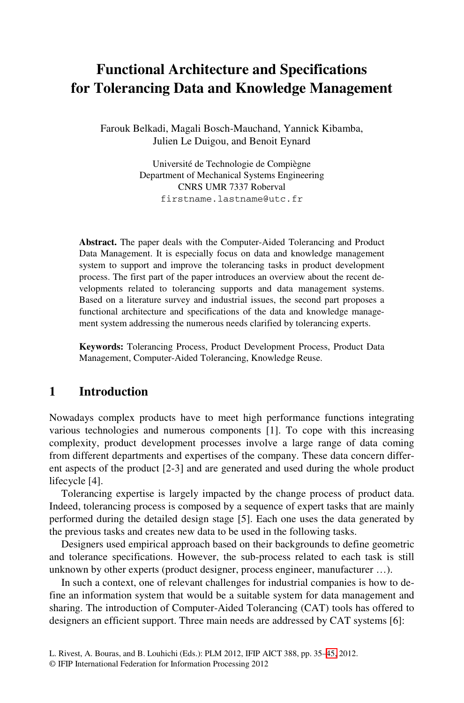# **Functional Architecture and Specifications for Tolerancing Data and Knowledge Management**

Farouk Belkadi, Magali Bosch-Mauchand, Yannick Kibamba, Julien Le Duigou, and Benoit Eynard

> Université de Technologie de Compiègne Department of Mechanical Systems Engineering CNRS UMR 7337 Roberval firstname.lastname@utc.fr

**Abstract.** The paper deals with the Computer-Aided Tolerancing and Product Data Management. It is especially focus on data and knowledge management system to support and improve the tolerancing tasks in product development process. The first part of the paper introduces an overview about the recent developments related to tolerancing supports and data management systems. Based on a literature survey and industrial issues, the second part proposes a functional architecture and specifications of the data and knowledge management system addressing the numerous needs clarified by tolerancing experts.

**Keywords:** Tolerancing Process, Product Development Process, Product Data Management, Computer-Aided Tolerancing, Knowledge Reuse.

#### **1 Introduction**

Nowadays complex products have to meet high performance functions integrating various technologies and numerous components [1]. To cope with this increasing complexity, product development processes involve a large range of data coming from different departments and expertises of the company. These data concern different aspects of the product [2-3] and are generated and used during the whole product lifecycle [4].

Tolerancing expertise is largely impacted by the change process of product data. Indeed, tolerancing process is composed by a sequence of expert tasks that are mainly performed during the detailed design stage [5]. Each one uses the data generated by the previous tasks and creates new data to be used in the following tasks.

Designers used empirical approach based on their backgrounds to define geometric and tolerance specifications. However, the [sub](#page-10-0)-process related to each task is still unknown by other experts (product designer, process engineer, manufacturer …).

In such a context, one of relevant challenges for industrial companies is how to define an information system that would be a suitable system for data management and sharing. The introduction of Computer-Aided Tolerancing (CAT) tools has offered to designers an efficient support. Three main needs are addressed by CAT systems [6]:

L. Rivest, A. Bouras, and B. Louhichi (Eds.): PLM 2012, IFIP AICT 388, pp. 35–45, 2012.

<sup>©</sup> IFIP International Federation for Information Processing 2012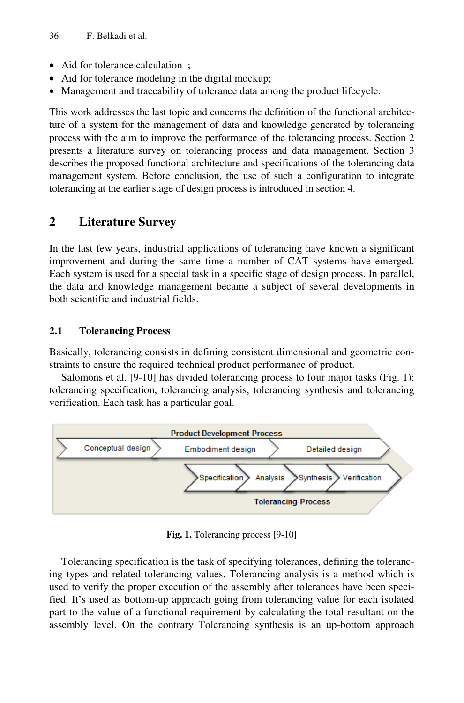- Aid for tolerance calculation ;
- Aid for tolerance modeling in the digital mockup;
- Management and traceability of tolerance data among the product lifecycle.

This work addresses the last topic and concerns the definition of the functional architecture of a system for the management of data and knowledge generated by tolerancing process with the aim to improve the performance of the tolerancing process. Section 2 presents a literature survey on tolerancing process and data management. Section 3 describes the proposed functional architecture and specifications of the tolerancing data management system. Before conclusion, the use of such a configuration to integrate tolerancing at the earlier stage of design process is introduced in section 4.

## **2 Literature Survey**

In the last few years, industrial applications of tolerancing have known a significant improvement and during the same time a number of CAT systems have emerged. Each system is used for a special task in a specific stage of design process. In parallel, the data and knowledge management became a subject of several developments in both scientific and industrial fields.

### **2.1 Tolerancing Process**

Basically, tolerancing consists in defining consistent dimensional and geometric constraints to ensure the required technical product performance of product.

Salomons et al. [9-10] has divided tolerancing process to four major tasks (Fig. 1): tolerancing specification, tolerancing analysis, tolerancing synthesis and tolerancing verification. Each task has a particular goal.



**Fig. 1.** Tolerancing process [9-10]

Tolerancing specification is the task of specifying tolerances, defining the tolerancing types and related tolerancing values. Tolerancing analysis is a method which is used to verify the proper execution of the assembly after tolerances have been specified. It's used as bottom-up approach going from tolerancing value for each isolated part to the value of a functional requirement by calculating the total resultant on the assembly level. On the contrary Tolerancing synthesis is an up-bottom approach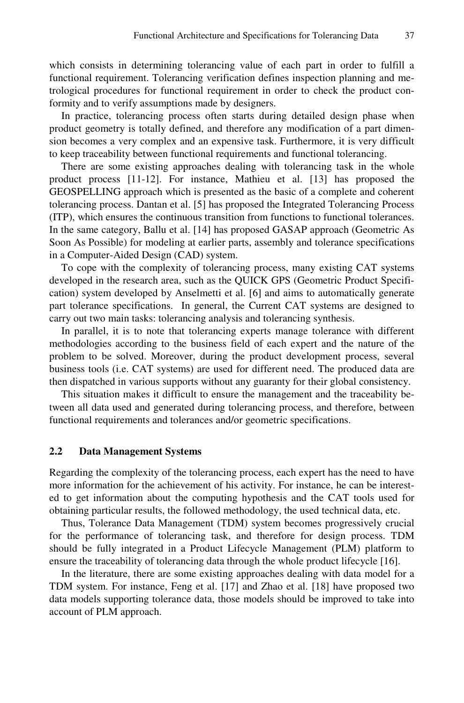which consists in determining tolerancing value of each part in order to fulfill a functional requirement. Tolerancing verification defines inspection planning and metrological procedures for functional requirement in order to check the product conformity and to verify assumptions made by designers.

In practice, tolerancing process often starts during detailed design phase when product geometry is totally defined, and therefore any modification of a part dimension becomes a very complex and an expensive task. Furthermore, it is very difficult to keep traceability between functional requirements and functional tolerancing.

There are some existing approaches dealing with tolerancing task in the whole product process [11-12]. For instance, Mathieu et al. [13] has proposed the GEOSPELLING approach which is presented as the basic of a complete and coherent tolerancing process. Dantan et al. [5] has proposed the Integrated Tolerancing Process (ITP), which ensures the continuous transition from functions to functional tolerances. In the same category, Ballu et al. [14] has proposed GASAP approach (Geometric As Soon As Possible) for modeling at earlier parts, assembly and tolerance specifications in a Computer-Aided Design (CAD) system.

To cope with the complexity of tolerancing process, many existing CAT systems developed in the research area, such as the QUICK GPS (Geometric Product Specification) system developed by Anselmetti et al. [6] and aims to automatically generate part tolerance specifications. In general, the Current CAT systems are designed to carry out two main tasks: tolerancing analysis and tolerancing synthesis.

In parallel, it is to note that tolerancing experts manage tolerance with different methodologies according to the business field of each expert and the nature of the problem to be solved. Moreover, during the product development process, several business tools (i.e. CAT systems) are used for different need. The produced data are then dispatched in various supports without any guaranty for their global consistency.

This situation makes it difficult to ensure the management and the traceability between all data used and generated during tolerancing process, and therefore, between functional requirements and tolerances and/or geometric specifications.

#### **2.2 Data Management Systems**

Regarding the complexity of the tolerancing process, each expert has the need to have more information for the achievement of his activity. For instance, he can be interested to get information about the computing hypothesis and the CAT tools used for obtaining particular results, the followed methodology, the used technical data, etc.

Thus, Tolerance Data Management (TDM) system becomes progressively crucial for the performance of tolerancing task, and therefore for design process. TDM should be fully integrated in a Product Lifecycle Management (PLM) platform to ensure the traceability of tolerancing data through the whole product lifecycle [16].

In the literature, there are some existing approaches dealing with data model for a TDM system. For instance, Feng et al. [17] and Zhao et al. [18] have proposed two data models supporting tolerance data, those models should be improved to take into account of PLM approach.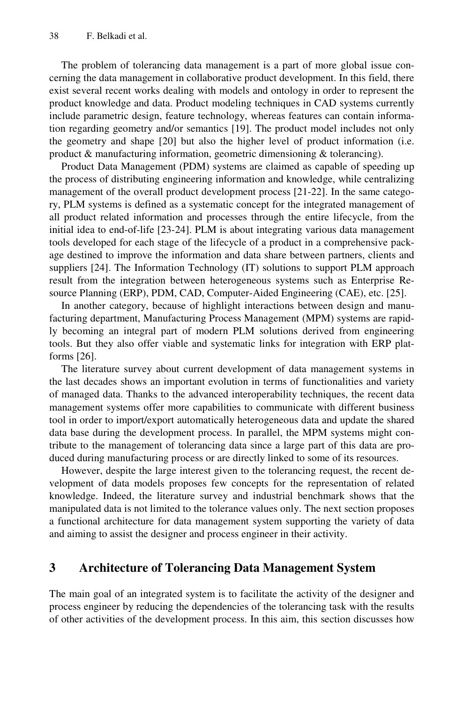The problem of tolerancing data management is a part of more global issue concerning the data management in collaborative product development. In this field, there exist several recent works dealing with models and ontology in order to represent the product knowledge and data. Product modeling techniques in CAD systems currently include parametric design, feature technology, whereas features can contain information regarding geometry and/or semantics [19]. The product model includes not only the geometry and shape [20] but also the higher level of product information (i.e. product & manufacturing information, geometric dimensioning & tolerancing).

Product Data Management (PDM) systems are claimed as capable of speeding up the process of distributing engineering information and knowledge, while centralizing management of the overall product development process [21-22]. In the same category, PLM systems is defined as a systematic concept for the integrated management of all product related information and processes through the entire lifecycle, from the initial idea to end-of-life [23-24]. PLM is about integrating various data management tools developed for each stage of the lifecycle of a product in a comprehensive package destined to improve the information and data share between partners, clients and suppliers [24]. The Information Technology (IT) solutions to support PLM approach result from the integration between heterogeneous systems such as Enterprise Resource Planning (ERP), PDM, CAD, Computer-Aided Engineering (CAE), etc. [25].

In another category, because of highlight interactions between design and manufacturing department, Manufacturing Process Management (MPM) systems are rapidly becoming an integral part of modern PLM solutions derived from engineering tools. But they also offer viable and systematic links for integration with ERP platforms [26].

The literature survey about current development of data management systems in the last decades shows an important evolution in terms of functionalities and variety of managed data. Thanks to the advanced interoperability techniques, the recent data management systems offer more capabilities to communicate with different business tool in order to import/export automatically heterogeneous data and update the shared data base during the development process. In parallel, the MPM systems might contribute to the management of tolerancing data since a large part of this data are produced during manufacturing process or are directly linked to some of its resources.

However, despite the large interest given to the tolerancing request, the recent development of data models proposes few concepts for the representation of related knowledge. Indeed, the literature survey and industrial benchmark shows that the manipulated data is not limited to the tolerance values only. The next section proposes a functional architecture for data management system supporting the variety of data and aiming to assist the designer and process engineer in their activity.

### **3 Architecture of Tolerancing Data Management System**

The main goal of an integrated system is to facilitate the activity of the designer and process engineer by reducing the dependencies of the tolerancing task with the results of other activities of the development process. In this aim, this section discusses how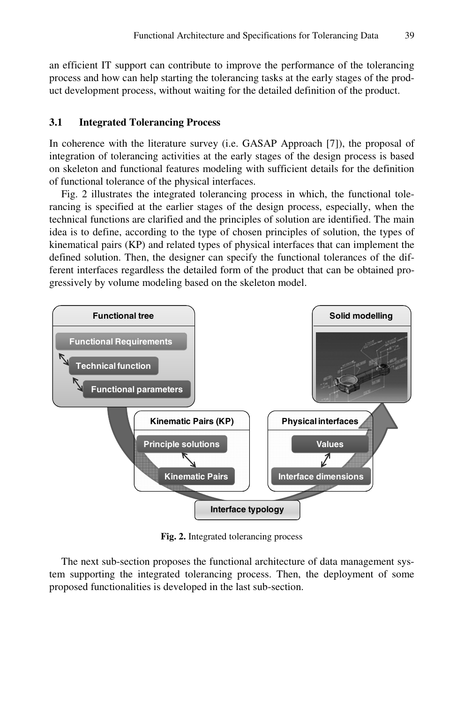an efficient IT support can contribute to improve the performance of the tolerancing process and how can help starting the tolerancing tasks at the early stages of the product development process, without waiting for the detailed definition of the product.

#### **3.1 Integrated Tolerancing Process**

In coherence with the literature survey (i.e. GASAP Approach [7]), the proposal of integration of tolerancing activities at the early stages of the design process is based on skeleton and functional features modeling with sufficient details for the definition of functional tolerance of the physical interfaces.

Fig. 2 illustrates the integrated tolerancing process in which, the functional tolerancing is specified at the earlier stages of the design process, especially, when the technical functions are clarified and the principles of solution are identified. The main idea is to define, according to the type of chosen principles of solution, the types of kinematical pairs (KP) and related types of physical interfaces that can implement the defined solution. Then, the designer can specify the functional tolerances of the different interfaces regardless the detailed form of the product that can be obtained progressively by volume modeling based on the skeleton model.



**Fig. 2.** Integrated tolerancing process

The next sub-section proposes the functional architecture of data management system supporting the integrated tolerancing process. Then, the deployment of some proposed functionalities is developed in the last sub-section.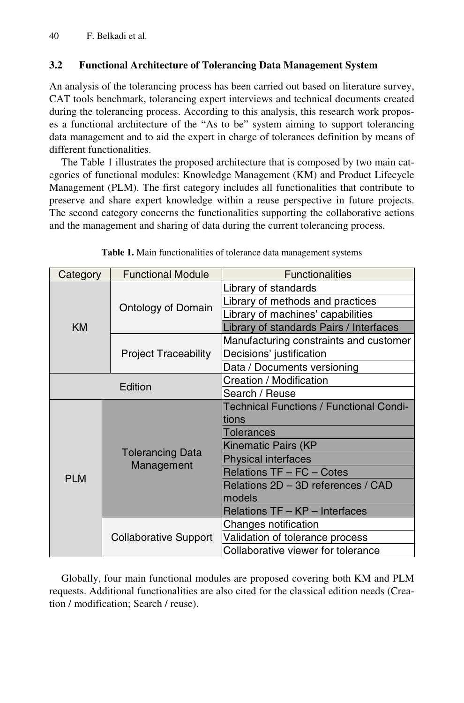#### **3.2 Functional Architecture of Tolerancing Data Management System**

An analysis of the tolerancing process has been carried out based on literature survey, CAT tools benchmark, tolerancing expert interviews and technical documents created during the tolerancing process. According to this analysis, this research work proposes a functional architecture of the "As to be" system aiming to support tolerancing data management and to aid the expert in charge of tolerances definition by means of different functionalities.

The Table 1 illustrates the proposed architecture that is composed by two main categories of functional modules: Knowledge Management (KM) and Product Lifecycle Management (PLM). The first category includes all functionalities that contribute to preserve and share expert knowledge within a reuse perspective in future projects. The second category concerns the functionalities supporting the collaborative actions and the management and sharing of data during the current tolerancing process.

| Category   | <b>Functional Module</b>              | <b>Functionalities</b>                         |
|------------|---------------------------------------|------------------------------------------------|
| <b>KM</b>  | <b>Ontology of Domain</b>             | Library of standards                           |
|            |                                       | Library of methods and practices               |
|            |                                       | Library of machines' capabilities              |
|            |                                       | Library of standards Pairs / Interfaces        |
|            | <b>Project Traceability</b>           | Manufacturing constraints and customer         |
|            |                                       | Decisions' justification                       |
|            |                                       | Data / Documents versioning                    |
|            | Edition                               | Creation / Modification                        |
|            |                                       | Search / Reuse                                 |
| <b>PLM</b> | <b>Tolerancing Data</b><br>Management | <b>Technical Functions / Functional Condi-</b> |
|            |                                       | tions                                          |
|            |                                       | Tolerances                                     |
|            |                                       | Kinematic Pairs (KP                            |
|            |                                       | <b>Physical interfaces</b>                     |
|            |                                       | Relations TF - FC - Cotes                      |
|            |                                       | Relations 2D - 3D references / CAD             |
|            |                                       | models                                         |
|            |                                       | Relations TF - KP - Interfaces                 |
|            | Collaborative Support                 | Changes notification                           |
|            |                                       | Validation of tolerance process                |
|            |                                       | Collaborative viewer for tolerance             |

**Table 1.** Main functionalities of tolerance data management systems

Globally, four main functional modules are proposed covering both KM and PLM requests. Additional functionalities are also cited for the classical edition needs (Creation / modification; Search / reuse).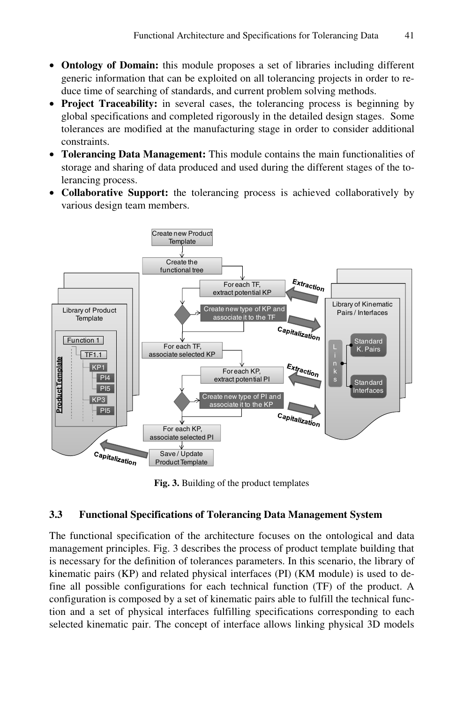- **Ontology of Domain:** this module proposes a set of libraries including different generic information that can be exploited on all tolerancing projects in order to reduce time of searching of standards, and current problem solving methods.
- **Project Traceability:** in several cases, the tolerancing process is beginning by global specifications and completed rigorously in the detailed design stages. Some tolerances are modified at the manufacturing stage in order to consider additional constraints.
- **Tolerancing Data Management:** This module contains the main functionalities of storage and sharing of data produced and used during the different stages of the tolerancing process.
- **Collaborative Support:** the tolerancing process is achieved collaboratively by various design team members.



**Fig. 3.** Building of the product templates

#### **3.3 Functional Specifications of Tolerancing Data Management System**

The functional specification of the architecture focuses on the ontological and data management principles. Fig. 3 describes the process of product template building that is necessary for the definition of tolerances parameters. In this scenario, the library of kinematic pairs (KP) and related physical interfaces (PI) (KM module) is used to define all possible configurations for each technical function (TF) of the product. A configuration is composed by a set of kinematic pairs able to fulfill the technical function and a set of physical interfaces fulfilling specifications corresponding to each selected kinematic pair. The concept of interface allows linking physical 3D models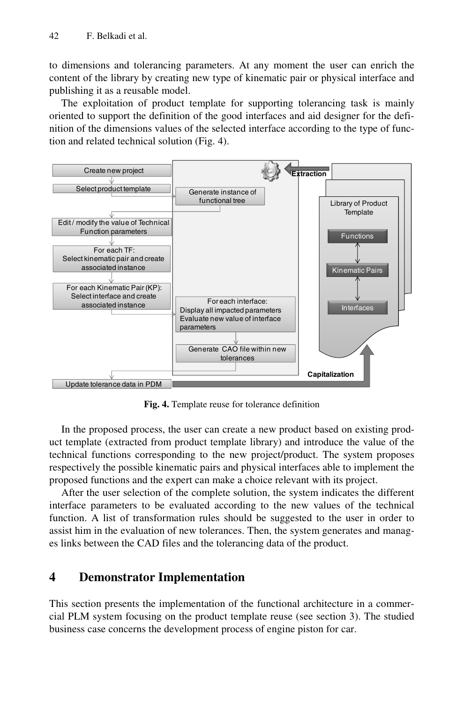to dimensions and tolerancing parameters. At any moment the user can enrich the content of the library by creating new type of kinematic pair or physical interface and publishing it as a reusable model.

The exploitation of product template for supporting tolerancing task is mainly oriented to support the definition of the good interfaces and aid designer for the definition of the dimensions values of the selected interface according to the type of function and related technical solution (Fig. 4).



**Fig. 4.** Template reuse for tolerance definition

In the proposed process, the user can create a new product based on existing product template (extracted from product template library) and introduce the value of the technical functions corresponding to the new project/product. The system proposes respectively the possible kinematic pairs and physical interfaces able to implement the proposed functions and the expert can make a choice relevant with its project.

After the user selection of the complete solution, the system indicates the different interface parameters to be evaluated according to the new values of the technical function. A list of transformation rules should be suggested to the user in order to assist him in the evaluation of new tolerances. Then, the system generates and manages links between the CAD files and the tolerancing data of the product.

### **4 Demonstrator Implementation**

This section presents the implementation of the functional architecture in a commercial PLM system focusing on the product template reuse (see section 3). The studied business case concerns the development process of engine piston for car.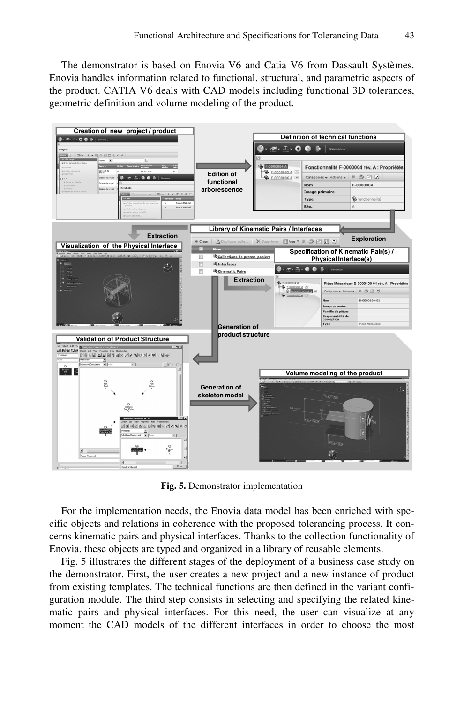The demonstrator is based on Enovia V6 and Catia V6 from Dassault Systèmes. Enovia handles information related to functional, structural, and parametric aspects of the product. CATIA V6 deals with CAD models including functional 3D tolerances, geometric definition and volume modeling of the product.



**Fig. 5.** Demonstrator implementation

For the implementation needs, the Enovia data model has been enriched with specific objects and relations in coherence with the proposed tolerancing process. It concerns kinematic pairs and physical interfaces. Thanks to the collection functionality of Enovia, these objects are typed and organized in a library of reusable elements.

Fig. 5 illustrates the different stages of the deployment of a business case study on the demonstrator. First, the user creates a new project and a new instance of product from existing templates. The technical functions are then defined in the variant configuration module. The third step consists in selecting and specifying the related kinematic pairs and physical interfaces. For this need, the user can visualize at any moment the CAD models of the different interfaces in order to choose the most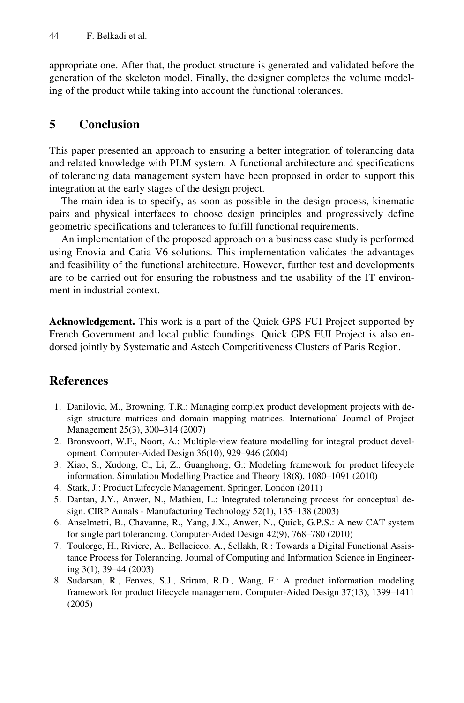appropriate one. After that, the product structure is generated and validated before the generation of the skeleton model. Finally, the designer completes the volume modeling of the product while taking into account the functional tolerances.

### **5 Conclusion**

This paper presented an approach to ensuring a better integration of tolerancing data and related knowledge with PLM system. A functional architecture and specifications of tolerancing data management system have been proposed in order to support this integration at the early stages of the design project.

The main idea is to specify, as soon as possible in the design process, kinematic pairs and physical interfaces to choose design principles and progressively define geometric specifications and tolerances to fulfill functional requirements.

An implementation of the proposed approach on a business case study is performed using Enovia and Catia V6 solutions. This implementation validates the advantages and feasibility of the functional architecture. However, further test and developments are to be carried out for ensuring the robustness and the usability of the IT environment in industrial context.

**Acknowledgement.** This work is a part of the Quick GPS FUI Project supported by French Government and local public foundings. Quick GPS FUI Project is also endorsed jointly by Systematic and Astech Competitiveness Clusters of Paris Region.

### **References**

- 1. Danilovic, M., Browning, T.R.: Managing complex product development projects with design structure matrices and domain mapping matrices. International Journal of Project Management 25(3), 300–314 (2007)
- 2. Bronsvoort, W.F., Noort, A.: Multiple-view feature modelling for integral product development. Computer-Aided Design 36(10), 929–946 (2004)
- 3. Xiao, S., Xudong, C., Li, Z., Guanghong, G.: Modeling framework for product lifecycle information. Simulation Modelling Practice and Theory 18(8), 1080–1091 (2010)
- 4. Stark, J.: Product Lifecycle Management. Springer, London (2011)
- 5. Dantan, J.Y., Anwer, N., Mathieu, L.: Integrated tolerancing process for conceptual design. CIRP Annals - Manufacturing Technology 52(1), 135–138 (2003)
- 6. Anselmetti, B., Chavanne, R., Yang, J.X., Anwer, N., Quick, G.P.S.: A new CAT system for single part tolerancing. Computer-Aided Design 42(9), 768–780 (2010)
- 7. Toulorge, H., Riviere, A., Bellacicco, A., Sellakh, R.: Towards a Digital Functional Assistance Process for Tolerancing. Journal of Computing and Information Science in Engineering 3(1), 39–44 (2003)
- 8. Sudarsan, R., Fenves, S.J., Sriram, R.D., Wang, F.: A product information modeling framework for product lifecycle management. Computer-Aided Design 37(13), 1399–1411 (2005)